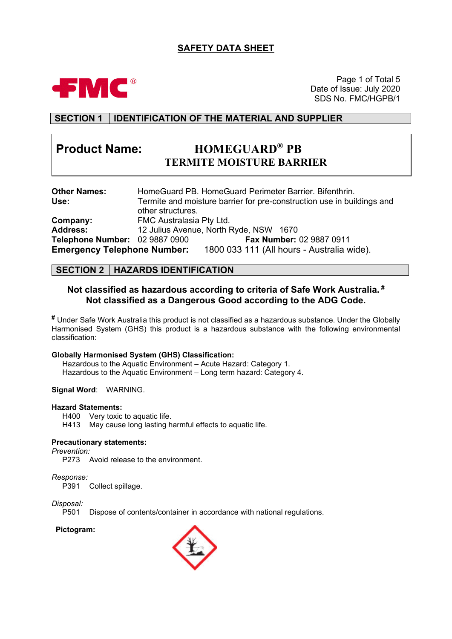# **SAFETY DATA SHEET**



Page 1 of Total 5 Date of Issue: July 2020 SDS No. FMC/HGPB/1

# **SECTION 1 IDENTIFICATION OF THE MATERIAL AND SUPPLIER**

# **Product Name: HOMEGUARD® PB TERMITE MOISTURE BARRIER**

| <b>Other Names:</b>                |                          | HomeGuard PB. HomeGuard Perimeter Barrier. Bifenthrin.                 |
|------------------------------------|--------------------------|------------------------------------------------------------------------|
| Use:                               |                          | Termite and moisture barrier for pre-construction use in buildings and |
|                                    | other structures.        |                                                                        |
| Company:                           | FMC Australasia Pty Ltd. |                                                                        |
| <b>Address:</b>                    |                          | 12 Julius Avenue, North Ryde, NSW 1670                                 |
| Telephone Number: 02 9887 0900     |                          | Fax Number: 02 9887 0911                                               |
| <b>Emergency Telephone Number:</b> |                          | 1800 033 111 (All hours - Australia wide).                             |

## **SECTION 2 HAZARDS IDENTIFICATION**

### **Not classified as hazardous according to criteria of Safe Work Australia. # Not classified as a Dangerous Good according to the ADG Code.**

**#** Under Safe Work Australia this product is not classified as a hazardous substance. Under the Globally Harmonised System (GHS) this product is a hazardous substance with the following environmental classification:

### **Globally Harmonised System (GHS) Classification:**

Hazardous to the Aquatic Environment – Acute Hazard: Category 1. Hazardous to the Aquatic Environment – Long term hazard: Category 4.

#### **Signal Word**: WARNING.

#### **Hazard Statements:**

H400 Very toxic to aquatic life.

H413 May cause long lasting harmful effects to aquatic life.

#### **Precautionary statements:**

*Prevention:*

P273 Avoid release to the environment.

*Response:*

P391 Collect spillage.

*Disposal:*

Dispose of contents/container in accordance with national regulations.

### **Pictogram:**

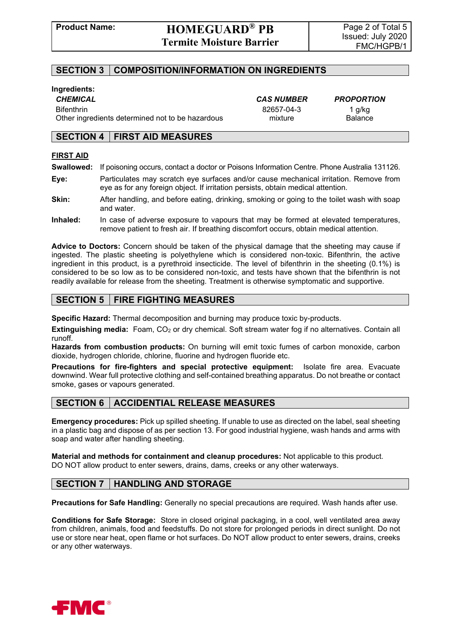## **SECTION 3 COMPOSITION/INFORMATION ON INGREDIENTS**

### **Ingredients:**

Bifenthrin 82657-04-3 1 g/kg Other ingredients determined not to be hazardous mixture mixture Balance

*CHEMICAL CAS NUMBER PROPORTION*

### **SECTION 4 FIRST AID MEASURES**

### **FIRST AID**

- **Swallowed:** If poisoning occurs, contact a doctor or Poisons Information Centre. Phone Australia 131126.
- **Eye:** Particulates may scratch eye surfaces and/or cause mechanical irritation. Remove from eye as for any foreign object. If irritation persists, obtain medical attention.
- **Skin:** After handling, and before eating, drinking, smoking or going to the toilet wash with soap and water.
- **Inhaled:** In case of adverse exposure to vapours that may be formed at elevated temperatures, remove patient to fresh air. If breathing discomfort occurs, obtain medical attention.

**Advice to Doctors:** Concern should be taken of the physical damage that the sheeting may cause if ingested. The plastic sheeting is polyethylene which is considered non-toxic. Bifenthrin, the active ingredient in this product, is a pyrethroid insecticide. The level of bifenthrin in the sheeting (0.1%) is considered to be so low as to be considered non-toxic, and tests have shown that the bifenthrin is not readily available for release from the sheeting. Treatment is otherwise symptomatic and supportive.

## **SECTION 5 FIRE FIGHTING MEASURES**

**Specific Hazard:** Thermal decomposition and burning may produce toxic by-products.

**Extinguishing media:** Foam, CO<sub>2</sub> or dry chemical. Soft stream water fog if no alternatives. Contain all runoff.

**Hazards from combustion products:** On burning will emit toxic fumes of carbon monoxide, carbon dioxide, hydrogen chloride, chlorine, fluorine and hydrogen fluoride etc.

**Precautions for fire-fighters and special protective equipment:** Isolate fire area. Evacuate downwind. Wear full protective clothing and self-contained breathing apparatus. Do not breathe or contact smoke, gases or vapours generated.

# **SECTION 6** | ACCIDENTIAL RELEASE MEASURES

**Emergency procedures:** Pick up spilled sheeting. If unable to use as directed on the label, seal sheeting in a plastic bag and dispose of as per section 13. For good industrial hygiene, wash hands and arms with soap and water after handling sheeting.

**Material and methods for containment and cleanup procedures:** Not applicable to this product. DO NOT allow product to enter sewers, drains, dams, creeks or any other waterways.

# **SECTION 7 HANDLING AND STORAGE**

**Precautions for Safe Handling:** Generally no special precautions are required. Wash hands after use.

**Conditions for Safe Storage:** Store in closed original packaging, in a cool, well ventilated area away from children, animals, food and feedstuffs. Do not store for prolonged periods in direct sunlight. Do not use or store near heat, open flame or hot surfaces. Do NOT allow product to enter sewers, drains, creeks or any other waterways.

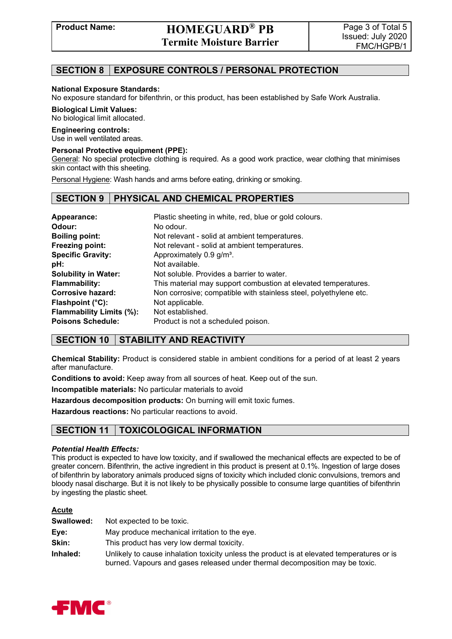# **Product Name: HOMEGUARD® PB Termite Moisture Barrier**

# **SECTION 8 EXPOSURE CONTROLS / PERSONAL PROTECTION**

### **National Exposure Standards:**

No exposure standard for bifenthrin, or this product, has been established by Safe Work Australia.

### **Biological Limit Values:**

No biological limit allocated.

#### **Engineering controls:**

Use in well ventilated areas.

### **Personal Protective equipment (PPE):**

General: No special protective clothing is required. As a good work practice, wear clothing that minimises skin contact with this sheeting.

Personal Hygiene: Wash hands and arms before eating, drinking or smoking.

### **SECTION 9 PHYSICAL AND CHEMICAL PROPERTIES**

| Appearance:                     | Plastic sheeting in white, red, blue or gold colours.             |
|---------------------------------|-------------------------------------------------------------------|
| Odour:                          | No odour.                                                         |
| <b>Boiling point:</b>           | Not relevant - solid at ambient temperatures.                     |
| Freezing point:                 | Not relevant - solid at ambient temperatures.                     |
| <b>Specific Gravity:</b>        | Approximately 0.9 g/m <sup>3</sup> .                              |
| pH:                             | Not available.                                                    |
| <b>Solubility in Water:</b>     | Not soluble. Provides a barrier to water.                         |
| <b>Flammability:</b>            | This material may support combustion at elevated temperatures.    |
| <b>Corrosive hazard:</b>        | Non corrosive; compatible with stainless steel, polyethylene etc. |
| Flashpoint $(^{\circ}C)$ :      | Not applicable.                                                   |
| <b>Flammability Limits (%):</b> | Not established.                                                  |
| <b>Poisons Schedule:</b>        | Product is not a scheduled poison.                                |

# **SECTION 10 STABILITY AND REACTIVITY**

**Chemical Stability:** Product is considered stable in ambient conditions for a period of at least 2 years after manufacture.

**Conditions to avoid:** Keep away from all sources of heat. Keep out of the sun.

**Incompatible materials:** No particular materials to avoid

**Hazardous decomposition products:** On burning will emit toxic fumes.

**Hazardous reactions:** No particular reactions to avoid.

# **SECTION 11 TOXICOLOGICAL INFORMATION**

### *Potential Health Effects:*

This product is expected to have low toxicity, and if swallowed the mechanical effects are expected to be of greater concern. Bifenthrin, the active ingredient in this product is present at 0.1%. Ingestion of large doses of bifenthrin by laboratory animals produced signs of toxicity which included clonic convulsions, tremors and bloody nasal discharge. But it is not likely to be physically possible to consume large quantities of bifenthrin by ingesting the plastic sheet.

### **Acute**

| Swallowed: | Not expected to be toxic.                                                                                                                                                  |
|------------|----------------------------------------------------------------------------------------------------------------------------------------------------------------------------|
| Eye:       | May produce mechanical irritation to the eye.                                                                                                                              |
| Skin:      | This product has very low dermal toxicity.                                                                                                                                 |
| Inhaled:   | Unlikely to cause inhalation toxicity unless the product is at elevated temperatures or is<br>burned. Vapours and gases released under thermal decomposition may be toxic. |

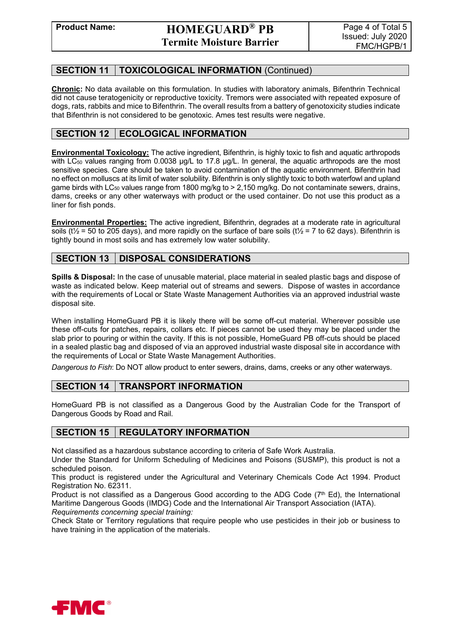# **SECTION 11 TOXICOLOGICAL INFORMATION** (Continued)

**Chronic:** No data available on this formulation. In studies with laboratory animals, Bifenthrin Technical did not cause teratogenicity or reproductive toxicity. Tremors were associated with repeated exposure of dogs, rats, rabbits and mice to Bifenthrin. The overall results from a battery of genotoxicity studies indicate that Bifenthrin is not considered to be genotoxic. Ames test results were negative.

# **SECTION 12 | ECOLOGICAL INFORMATION**

**Environmental Toxicology:** The active ingredient, Bifenthrin, is highly toxic to fish and aquatic arthropods with LC<sub>50</sub> values ranging from 0.0038  $\mu$ g/L to 17.8  $\mu$ g/L. In general, the aquatic arthropods are the most sensitive species. Care should be taken to avoid contamination of the aquatic environment. Bifenthrin had no effect on molluscs at its limit of water solubility. Bifenthrin is only slightly toxic to both waterfowl and upland game birds with LC<sub>50</sub> values range from 1800 mg/kg to  $> 2,150$  mg/kg. Do not contaminate sewers, drains, dams, creeks or any other waterways with product or the used container. Do not use this product as a liner for fish ponds.

**Environmental Properties:** The active ingredient, Bifenthrin, degrades at a moderate rate in agricultural soils ( $t\frac{1}{2}$  = 50 to 205 days), and more rapidly on the surface of bare soils ( $t\frac{1}{2}$  = 7 to 62 days). Bifenthrin is tightly bound in most soils and has extremely low water solubility.

# **SECTION 13 DISPOSAL CONSIDERATIONS**

**Spills & Disposal:** In the case of unusable material, place material in sealed plastic bags and dispose of waste as indicated below. Keep material out of streams and sewers. Dispose of wastes in accordance with the requirements of Local or State Waste Management Authorities via an approved industrial waste disposal site.

When installing HomeGuard PB it is likely there will be some off-cut material. Wherever possible use these off-cuts for patches, repairs, collars etc. If pieces cannot be used they may be placed under the slab prior to pouring or within the cavity. If this is not possible, HomeGuard PB off-cuts should be placed in a sealed plastic bag and disposed of via an approved industrial waste disposal site in accordance with the requirements of Local or State Waste Management Authorities.

*Dangerous to Fish*: Do NOT allow product to enter sewers, drains, dams, creeks or any other waterways.

# **SECTION 14 | TRANSPORT INFORMATION**

HomeGuard PB is not classified as a Dangerous Good by the Australian Code for the Transport of Dangerous Goods by Road and Rail.

# **SECTION 15 | REGULATORY INFORMATION**

Not classified as a hazardous substance according to criteria of Safe Work Australia.

Under the Standard for Uniform Scheduling of Medicines and Poisons (SUSMP), this product is not a scheduled poison.

This product is registered under the Agricultural and Veterinary Chemicals Code Act 1994. Product Registration No. 62311.

Product is not classified as a Dangerous Good according to the ADG Code  $(7<sup>th</sup> Ed)$ , the International Maritime Dangerous Goods (IMDG) Code and the International Air Transport Association (IATA). *Requirements concerning special training:*

Check State or Territory regulations that require people who use pesticides in their job or business to have training in the application of the materials.